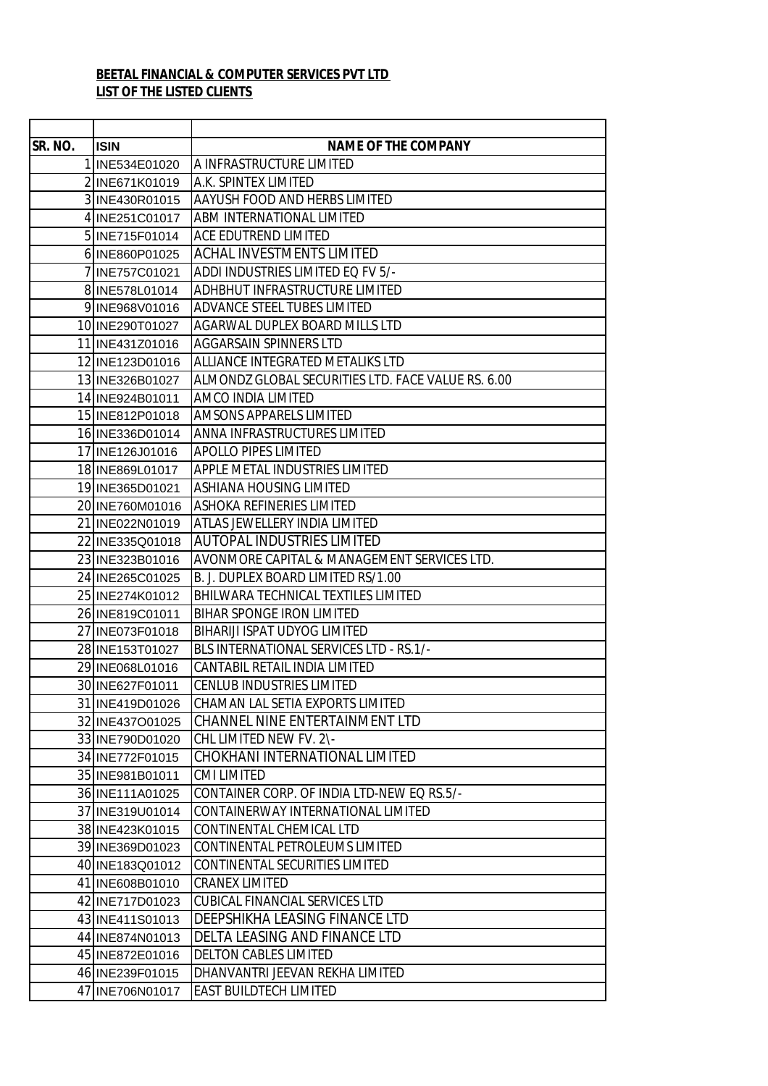## **BEETAL FINANCIAL & COMPUTER SERVICES PVT LTD LIST OF THE LISTED CLIENTS**

| SR. NO. | <b>ISIN</b>                        | <b>NAME OF THE COMPANY</b>                                  |
|---------|------------------------------------|-------------------------------------------------------------|
|         | 1 INE534E01020                     | A INFRASTRUCTURE LIMITED                                    |
|         | 2 INE671K01019                     | A.K. SPINTEX LIMITED                                        |
|         | 3 INE430R01015                     | AAYUSH FOOD AND HERBS LIMITED                               |
|         | 4 INE251C01017                     | ABM INTERNATIONAL LIMITED                                   |
|         | 5 INE715 F01014                    | ACE EDUTREND LIMITED                                        |
|         | 6 INE860P01025                     | <b>ACHAL INVESTMENTS LIMITED</b>                            |
|         | 7 INE757C01021                     | ADDI INDUSTRIES LIMITED EQ FV 5/-                           |
|         | 8 INE578L01014                     | ADHBHUT INFRASTRUCTURE LIMITED                              |
|         | 9 INE968 V01016                    | ADVANCE STEEL TUBES LIMITED                                 |
|         | 10 INE290T01027                    | AGARWAL DUPLEX BOARD MILLS LTD                              |
|         | 11 INE431Z01016                    | AGGARSAIN SPINNERS LTD                                      |
|         | 12 INE123D01016                    | ALLIANCE INTEGRATED METALIKS LTD                            |
|         | 13 INE326B01027                    | ALMONDZ GLOBAL SECURITIES LTD. FACE VALUE RS. 6.00          |
|         | 14 INE924B01011                    | AMCO INDIA LIMITED                                          |
|         | 15 INE812P01018                    | AMSONS APPARELS LIMITED                                     |
|         | 16 INE336D01014                    | ANNA INFRASTRUCTURES LIMITED<br><b>APOLLO PIPES LIMITED</b> |
|         | 17 INE126J01016                    | APPLE METAL INDUSTRIES LIMITED                              |
|         | 18 INE869L01017                    | ASHIANA HOUSING LIMITED                                     |
|         | 19 INE365D01021<br>20 INE760M01016 | <b>ASHOKA REFINERIES LIMITED</b>                            |
|         | 21 INE022N01019                    | ATLAS JEWELLERY INDIA LIMITED                               |
|         | 22 INE335Q01018                    | <b>AUTOPAL INDUSTRIES LIMITED</b>                           |
|         | 23 INE323B01016                    | AVONMORE CAPITAL & MANAGEMENT SERVICES LTD.                 |
|         | 24 INE265C01025                    | B. J. DUPLEX BOARD LIMITED RS/1.00                          |
|         | 25 INE274K01012                    | BHILWARA TECHNICAL TEXTILES LIMITED                         |
|         | 26 INE819C01011                    | BIHAR SPONGE IRON LIMITED                                   |
|         | 27 INE073F01018                    | BIHARIJI ISPAT UDYOG LIMITED                                |
|         | 28 INE153T01027                    | BLS INTERNATIONAL SERVICES LTD - RS.1/-                     |
|         | 29 INE068 L01016                   | CANTABIL RETAIL INDIA LIMITED                               |
|         | 30 INE627F01011                    | <b>CENLUB INDUSTRIES LIMITED</b>                            |
|         | 31 INE419D01026                    | CHAMAN LAL SETIA EXPORTS LIMITED                            |
|         | 32 INE437001025                    | CHANNEL NINE ENTERTAINMENT LTD                              |
|         | 33 INE790D01020                    | CHL LIMITED NEW FV. 2\-                                     |
|         | 34 INE772F01015                    | CHOKHANI INTERNATIONAL LIMITED                              |
|         | 35 INE981B01011                    | CMI LIMITED                                                 |
|         | 36 INE111A01025                    | CONTAINER CORP. OF INDIA LTD-NEW EQ RS.5/-                  |
|         | 37 INE319U01014                    | CONTAINERWAY INTERNATIONAL LIMITED                          |
|         | 38 INE423K01015                    | CONTINENTAL CHEMICAL LTD                                    |
|         | 39 INE369D01023                    | CONTINENTAL PETROLEUMS LIMITED                              |
|         | 40 INE183Q01012                    | CONTINENTAL SECURITIES LIMITED                              |
|         | 41 INE608B01010                    | <b>CRANEX LIMITED</b>                                       |
|         | 42 INE717D01023                    | <b>CUBICAL FINANCIAL SERVICES LTD</b>                       |
|         | 43 INE411S01013                    | DEEPSHIKHA LEASING FINANCE LTD                              |
|         | 44 INE874N01013                    | DELTA LEASING AND FINANCE LTD                               |
|         | 45 INE872E01016                    | <b>DELTON CABLES LIMITED</b>                                |
|         | 46 INE239F01015                    | DHANVANTRI JEEVAN REKHA LIMITED                             |
|         | 47 INE706N01017                    | <b>EAST BUILDTECH LIMITED</b>                               |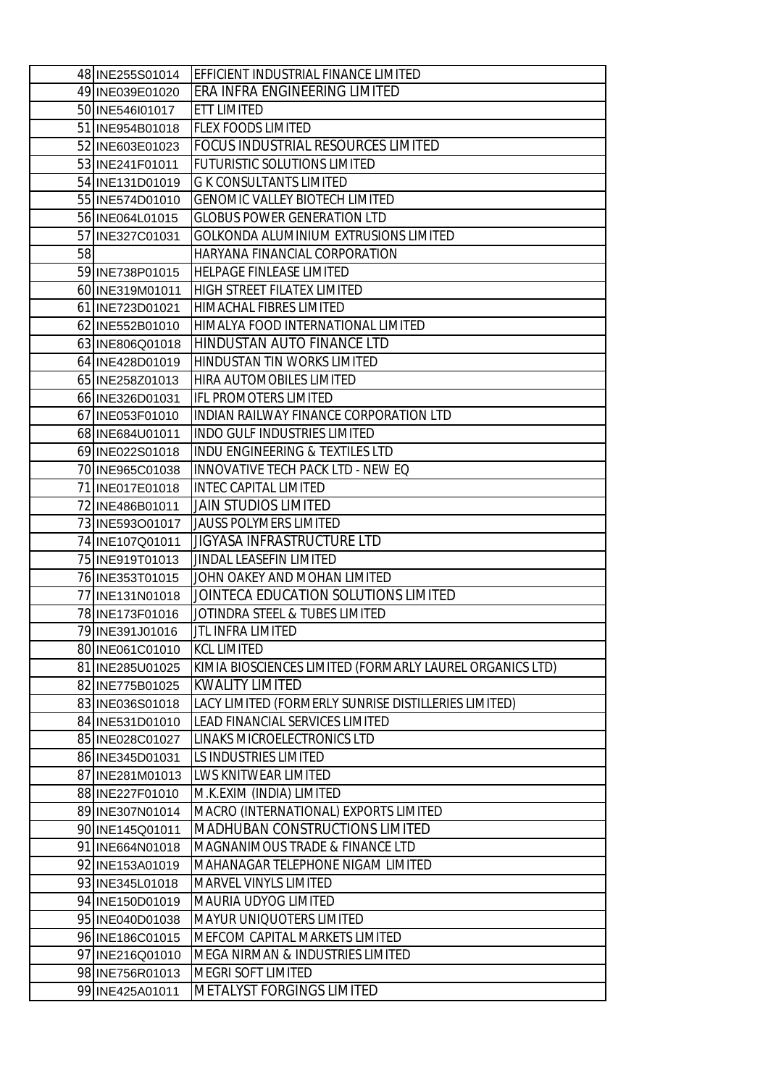|    | 48 INE255S01014 | EFFICIENT INDUSTRIAL FINANCE LIMITED                     |
|----|-----------------|----------------------------------------------------------|
|    | 49 INE039E01020 | <b>ERA INFRA ENGINEERING LIMITED</b>                     |
|    | 50 INE546101017 | <b>ETT LIMITED</b>                                       |
|    | 51 INE954B01018 | <b>FLEX FOODS LIMITED</b>                                |
|    | 52 INE603E01023 | FOCUS INDUSTRIAL RESOURCES LIMITED                       |
|    | 53 INE241F01011 | <b>FUTURISTIC SOLUTIONS LIMITED</b>                      |
|    | 54 INE131D01019 | <b>G K CONSULTANTS LIMITED</b>                           |
|    | 55 INE574D01010 | <b>GENOMIC VALLEY BIOTECH LIMITED</b>                    |
|    | 56 INE064L01015 | <b>GLOBUS POWER GENERATION LTD</b>                       |
|    | 57 INE327C01031 | GOLKONDA ALUMINIUM EXTRUSIONS LIMITED                    |
| 58 |                 | HARYANA FINANCIAL CORPORATION                            |
|    | 59 INE738P01015 | <b>HELPAGE FINLEASE LIMITED</b>                          |
|    | 60 INE319M01011 | <b>HIGH STREET FILATEX LIMITED</b>                       |
|    | 61 INE723D01021 | HIMACHAL FIBRES LIMITED                                  |
|    | 62 INE552B01010 | HIMALYA FOOD INTERNATIONAL LIMITED                       |
|    | 63 INE806Q01018 | HINDUSTAN AUTO FINANCE LTD                               |
|    | 64 INE428D01019 | <b>HINDUSTAN TIN WORKS LIMITED</b>                       |
|    | 65 INE258Z01013 | HIRA AUTOMOBILES LIMITED                                 |
|    | 66 INE326D01031 | <b>IFL PROMOTERS LIMITED</b>                             |
|    | 67 INE053F01010 | INDIAN RAILWAY FINANCE CORPORATION LTD                   |
|    | 68 INE684U01011 | <b>INDO GULF INDUSTRIES LIMITED</b>                      |
|    | 69 INE022S01018 | INDU ENGINEERING & TEXTILES LTD                          |
|    | 70 INE965C01038 | INNOVATIVE TECH PACK LTD - NEW EQ                        |
|    | 71 INE017E01018 | <b>INTEC CAPITAL LIMITED</b>                             |
|    | 72 INE486B01011 | <b>JAIN STUDIOS LIMITED</b>                              |
|    | 73 INE593O01017 | <b>JAUSS POLYMERS LIMITED</b>                            |
|    | 74 INE107Q01011 | <b>JIGYASA INFRASTRUCTURE LTD</b>                        |
|    | 75 INE919T01013 | JINDAL LEASEFIN LIMITED                                  |
|    | 76 INE353T01015 | JOHN OAKEY AND MOHAN LIMITED                             |
|    | 77 INE131N01018 | JOINTECA EDUCATION SOLUTIONS LIMITED                     |
|    | 78 INE173F01016 | JOTINDRA STEEL & TUBES LIMITED                           |
|    | 79 INE391J01016 | JTL INFRA LIMITED                                        |
|    | 80 INE061C01010 | <b>KCL LIMITED</b>                                       |
|    | 81 INE285U01025 | KIMIA BIOSCIENCES LIMITED (FORMARLY LAUREL ORGANICS LTD) |
|    | 82 INE775B01025 | <b>KWALITY LIMITED</b>                                   |
|    | 83 INE036S01018 | LACY LIMITED (FORMERLY SUNRISE DISTILLERIES LIMITED)     |
|    | 84 INE531D01010 | LEAD FINANCIAL SERVICES LIMITED                          |
|    | 85 INE028C01027 | LINAKS MICROELECTRONICS LTD                              |
|    | 86 INE345D01031 | LS INDUSTRIES LIMITED                                    |
|    | 87 INE281M01013 | <b>LWS KNITWEAR LIMITED</b>                              |
|    | 88 INE227F01010 | M.K.EXIM (INDIA) LIMITED                                 |
|    | 89 INE307N01014 | MACRO (INTERNATIONAL) EXPORTS LIMITED                    |
|    | 90 INE145Q01011 | <b>MADHUBAN CONSTRUCTIONS LIMITED</b>                    |
|    | 91 INE664N01018 | MAGNANIMOUS TRADE & FINANCE LTD                          |
|    | 92 INE153A01019 | MAHANAGAR TELEPHONE NIGAM LIMITED                        |
|    | 93 INE345L01018 | <b>MARVEL VINYLS LIMITED</b>                             |
|    | 94 INE150D01019 | <b>MAURIA UDYOG LIMITED</b>                              |
|    | 95 INE040D01038 | <b>MAYUR UNIQUOTERS LIMITED</b>                          |
|    | 96 INE186C01015 | MEFCOM CAPITAL MARKETS LIMITED                           |
|    | 97 INE216Q01010 | MEGA NIRMAN & INDUSTRIES LIMITED                         |
|    | 98 INE756R01013 | MEGRI SOFT LIMITED                                       |
|    | 99 INE425A01011 | <b>METALYST FORGINGS LIMITED</b>                         |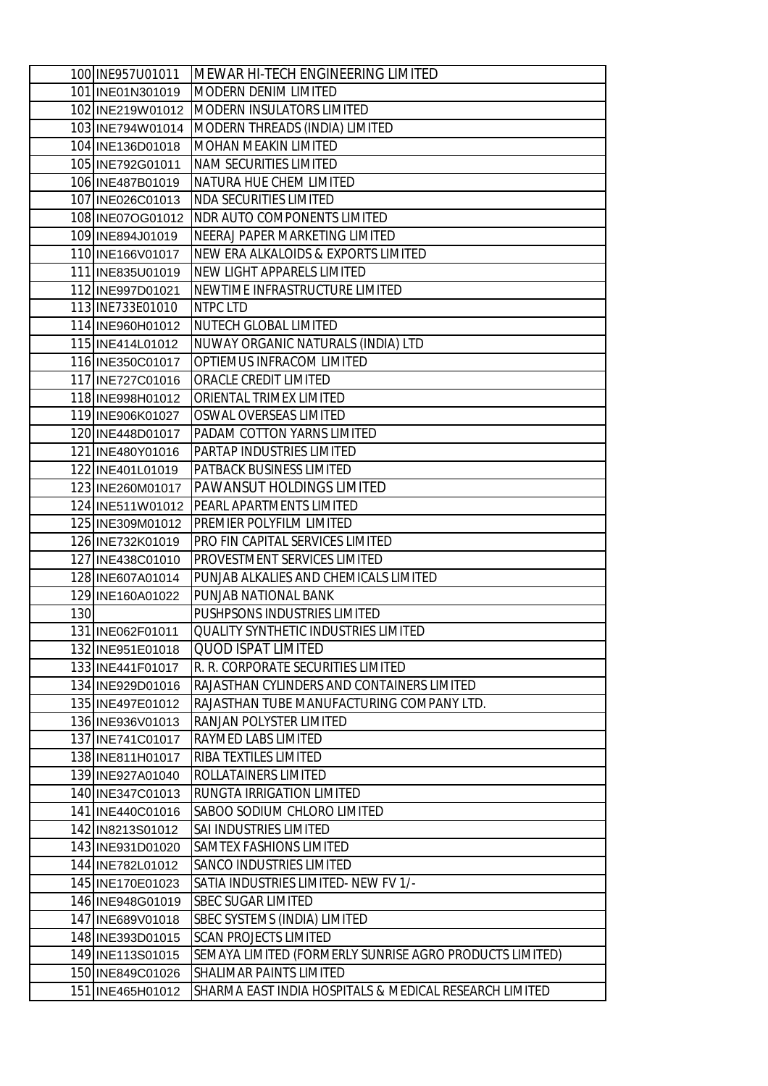| 100 INE957U01011                     | MEWAR HI-TECH ENGINEERING LIMITED                          |
|--------------------------------------|------------------------------------------------------------|
| 101 INE01N301019                     | MODERN DENIM LIMITED                                       |
| 102 INE219W01012                     | <b>MODERN INSULATORS LIMITED</b>                           |
| 103 INE794W01014                     | MODERN THREADS (INDIA) LIMITED                             |
| 104 INE136D01018                     | <b>MOHAN MEAKIN LIMITED</b>                                |
| 105 INE792G01011                     | <b>NAM SECURITIES LIMITED</b>                              |
| 106 INE487B01019                     | NATURA HUE CHEM LIMITED                                    |
| 107 INE026C01013                     | <b>NDA SECURITIES LIMITED</b>                              |
| 108 INE07OG01012                     | <b>NDR AUTO COMPONENTS LIMITED</b>                         |
| 109 INE894J01019                     | NEERAJ PAPER MARKETING LIMITED                             |
| 110 INE166V01017                     | NEW ERA ALKALOIDS & EXPORTS LIMITED                        |
| 111 INE835U01019                     | NEW LIGHT APPARELS LIMITED                                 |
| 112 INE997D01021                     | NEWTIME INFRASTRUCTURE LIMITED                             |
| 113 INE733E01010                     | <b>NTPC LTD</b>                                            |
| 114 INE960H01012                     | <b>NUTECH GLOBAL LIMITED</b>                               |
| 115 INE414 L01012                    | NUWAY ORGANIC NATURALS (INDIA) LTD                         |
| 116 INE350C01017                     | OPTIEMUS INFRACOM LIMITED                                  |
| 117 INE727C01016                     | ORACLE CREDIT LIMITED                                      |
| 118 INE998H01012                     | ORIENTAL TRIMEX LIMITED                                    |
| 119 INE906K01027                     | OSWAL OVERSEAS LIMITED                                     |
| 120 INE448D01017                     | PADAM COTTON YARNS LIMITED                                 |
| 121 INE480Y01016                     | PARTAP INDUSTRIES LIMITED                                  |
| 122 INE401L01019                     | PATBACK BUSINESS LIMITED                                   |
| 123 INE260M01017                     | <b>PAWANSUT HOLDINGS LIMITED</b>                           |
| 124 INE511W01012                     | PEARL APARTMENTS LIMITED                                   |
| 125 INE309M01012                     | PREMIER POLYFILM LIMITED                                   |
| 126 INE732K01019                     | PRO FIN CAPITAL SERVICES LIMITED                           |
| 127 INE438C01010                     | PROVESTMENT SERVICES LIMITED                               |
| 128 INE607A01014                     | PUNJAB ALKALIES AND CHEMICALS LIMITED                      |
| 129 INE160A01022                     | PUNJAB NATIONAL BANK                                       |
| 130                                  | PUSHPSONS INDUSTRIES LIMITED                               |
| 131 INE062F01011                     | <b>QUALITY SYNTHETIC INDUSTRIES LIMITED</b>                |
| 132 INE951E01018                     | <b>QUOD ISPAT LIMITED</b>                                  |
| 133 INE441F01017                     | R. R. CORPORATE SECURITIES LIMITED                         |
| 134 INE929D01016                     | RAJASTHAN CYLINDERS AND CONTAINERS LIMITED                 |
| 135 INE497E01012                     | RAJASTHAN TUBE MANUFACTURING COMPANY LTD.                  |
| 136 INE936 V01013                    | RANJAN POLYSTER LIMITED                                    |
| 137 INE741C01017                     | <b>RAYMED LABS LIMITED</b>                                 |
| 138 INE811H01017                     | RIBA TEXTILES LIMITED                                      |
| 139 INE927A01040                     | ROLLATAINERS LIMITED                                       |
| 140 INE347C01013                     | RUNGTA IRRIGATION LIMITED                                  |
| 141 INE440C01016                     | SABOO SODIUM CHLORO LIMITED                                |
| 142 IN8213S01012                     | SAI INDUSTRIES LIMITED                                     |
| 143 INE931D01020<br>144 INE782L01012 | SAMTEX FASHIONS LIMITED<br><b>SANCO INDUSTRIES LIMITED</b> |
|                                      | SATIA INDUSTRIES LIMITED- NEW FV 1/-                       |
| 145 INE170E01023<br>146 INE948G01019 | <b>SBEC SUGAR LIMITED</b>                                  |
| 147 INE689V01018                     | <b>SBEC SYSTEMS (INDIA) LIMITED</b>                        |
| 148 INE393D01015                     | <b>SCAN PROJECTS LIMITED</b>                               |
| 149 INE113S01015                     | SEMAYA LIMITED (FORMERLY SUNRISE AGRO PRODUCTS LIMITED)    |
| 150 INE849C01026                     | <b>SHALIMAR PAINTS LIMITED</b>                             |
| 151 INE465H01012                     | SHARMA EAST INDIA HOSPITALS & MEDICAL RESEARCH LIMITED     |
|                                      |                                                            |